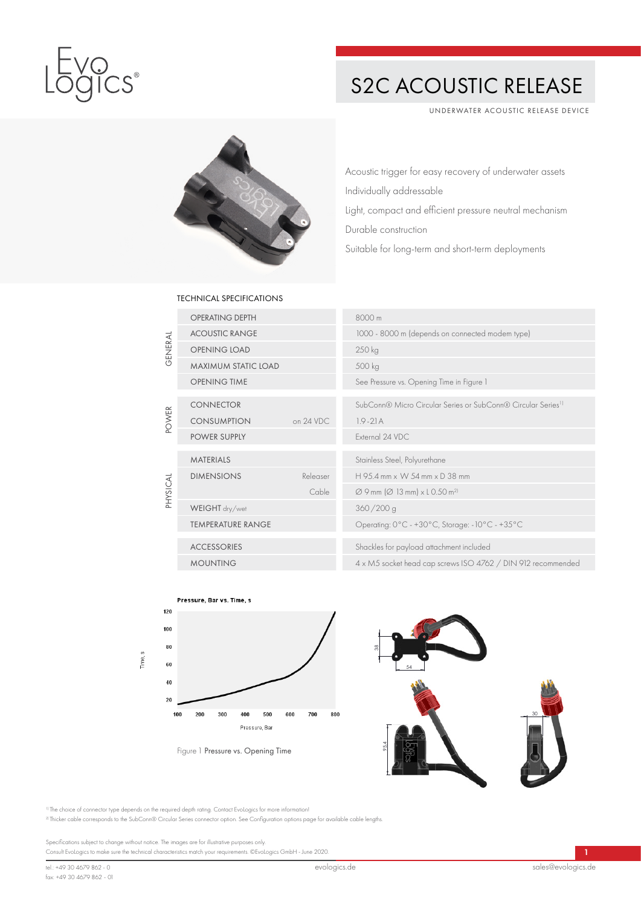

## S2C ACOUSTIC RELEASE

UNDERWATER ACOUSTIC RELEASE DEVICE



Acoustic trigger for easy recovery of underwater assets Individually addressable Light, compact and efficient pressure neutral mechanism Durable construction Suitable for long-term and short-term deployments

## TECHNICAL SPECIFICATIONS

| GENERAL      | <b>OPERATING DEPTH</b>     |           | 8000 m                                                                   |
|--------------|----------------------------|-----------|--------------------------------------------------------------------------|
|              | <b>ACOUSTIC RANGE</b>      |           | 1000 - 8000 m (depends on connected modem type)                          |
|              | <b>OPENING LOAD</b>        |           | 250 kg                                                                   |
|              | <b>MAXIMUM STATIC LOAD</b> |           | 500 kg                                                                   |
|              | <b>OPENING TIME</b>        |           | See Pressure vs. Opening Time in Figure 1                                |
| <b>POWER</b> | <b>CONNECTOR</b>           |           | SubConn® Micro Circular Series or SubConn® Circular Series <sup>11</sup> |
|              | <b>CONSUMPTION</b>         | on 24 VDC | $1.9 - 21$ A                                                             |
|              | POWER SUPPLY               |           | External 24 VDC                                                          |
|              | <b>MATERIALS</b>           |           | Stainless Steel, Polyurethane                                            |
| PHYSICAL     | <b>DIMENSIONS</b>          | Releaser  | $H$ 9.5.4 mm $\times$ W 54 mm $\times$ D 38 mm                           |
|              |                            | Cable     | $\varnothing$ 9 mm ( $\varnothing$ 13 mm) x L 0.50 m <sup>2)</sup>       |
|              | WEIGHT dry/wet             |           | 360/200 g                                                                |
|              | <b>TEMPERATURE RANGE</b>   |           | Operating: 0°C - +30°C, Storage: -10°C - +35°C                           |
|              | <b>ACCESSORIES</b>         |           | Shackles for payload attachment included                                 |
|              | <b>MOUNTING</b>            |           | 4 x M5 socket head cap screws ISO 4762 / DIN 912 recommended             |





<sup>1)</sup> The choice of connector type depends on the required depth rating. Contact EvoLogics for more information!

2) Thicker cable corresponds to the SubConn® Circular Series connector option. See Configuration options page for available cable lengths.

Specifications subject to change without notice. The images are for illustrative purposes only. Consult EvoLogics to make sure the technical characteristics match your requirements. ©EvoLogics GmbH - June 2020.

1